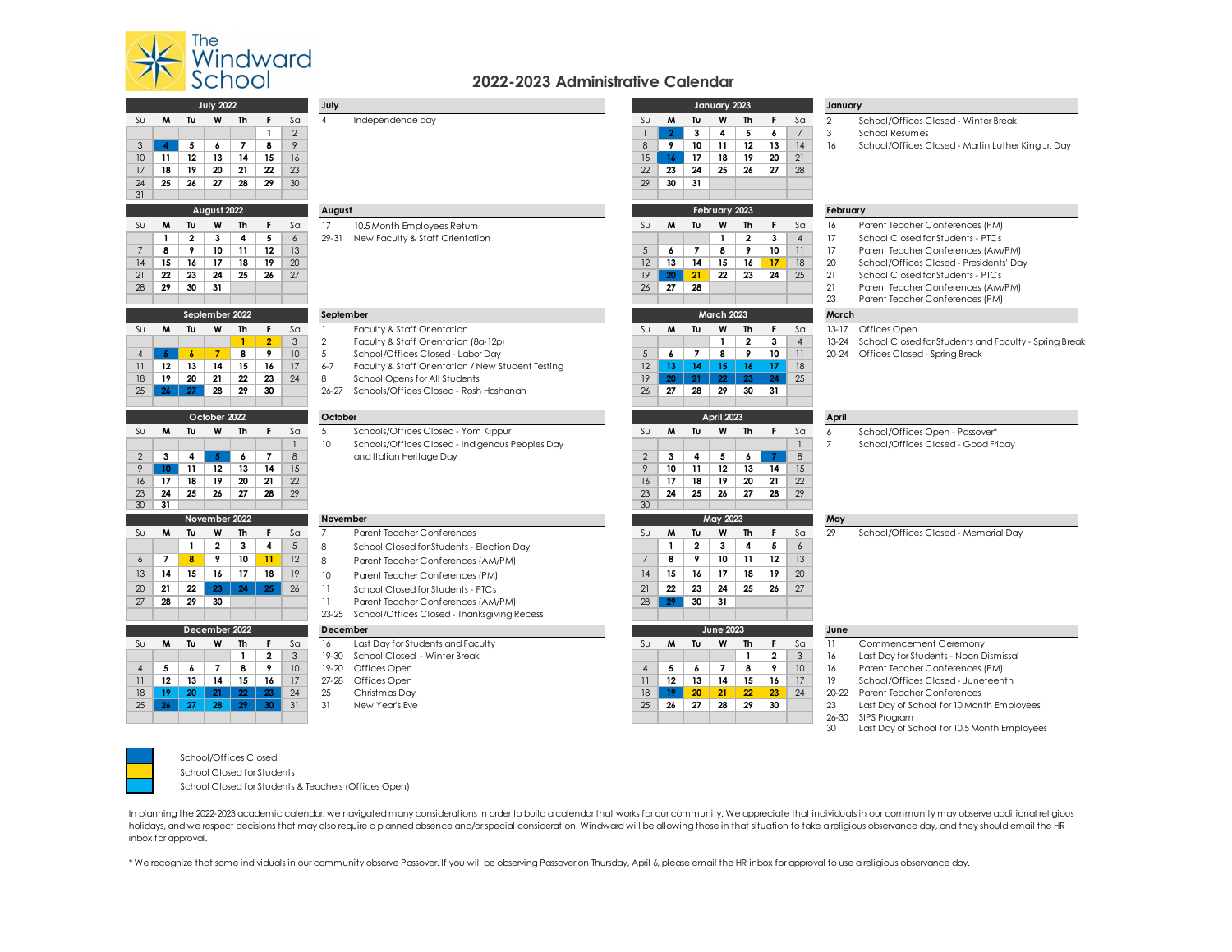

 $\frac{1}{31}$ 

## **2022-2023 Administrative Calendar**

| <b>July 2022</b> |                  |                         |                |                 |                          |                | July            |                                                   |                 |                |                   | January 2023      |                         |                |                 | January        |                                                       |  |  |
|------------------|------------------|-------------------------|----------------|-----------------|--------------------------|----------------|-----------------|---------------------------------------------------|-----------------|----------------|-------------------|-------------------|-------------------------|----------------|-----------------|----------------|-------------------------------------------------------|--|--|
| Sυ               | M                | Tu                      | W              | Th              | F.                       | S <sub>a</sub> | $\overline{4}$  | Independence day                                  | $S_{U}$         | M              | Tu                | W                 | <b>Th</b>               | F.             | S <sub>a</sub>  | $\overline{2}$ | School/Offices Closed - Winter Break                  |  |  |
|                  |                  |                         |                |                 | $\mathbf{1}$             | $\overline{2}$ |                 |                                                   |                 | $\overline{2}$ | 3                 | 4                 | 5                       | 6              | $7\overline{ }$ | $\mathsf 3$    | <b>School Resumes</b>                                 |  |  |
| $\mathsf 3$      | $\boldsymbol{4}$ | 5                       | 6              | 7               | 8                        | $\sqrt{2}$     |                 |                                                   | $\bf 8$         | 9              | 10                | 11                | 12                      | 13             | 14              | 16             | School/Offices Closed - Martin Luther King Jr. Day    |  |  |
| 10               | 11               | 12                      | 13             | 14              | 15                       | 16             |                 |                                                   | 15              | 16             | 17                | 18                | 19                      | 20             | 21              |                |                                                       |  |  |
| 17               | 18               | 19                      | 20             | 21              | 22                       | 23             |                 |                                                   | 22              | 23             | 24                | 25                | 26                      | 27             | 28              |                |                                                       |  |  |
| 24               | 25               | 26                      | 27             | 28              | 29                       | 30             |                 |                                                   | 29              | 30             | 31                |                   |                         |                |                 |                |                                                       |  |  |
| 31               |                  |                         |                |                 |                          |                |                 |                                                   |                 |                |                   |                   |                         |                |                 |                |                                                       |  |  |
|                  | August 2022      |                         |                |                 |                          |                |                 | August                                            |                 |                |                   | February 2023     |                         |                |                 | February       |                                                       |  |  |
| Sυ               | M                | Tυ                      | W              | Th              | F.                       | S <sub>a</sub> | 17              | 10.5 Month Employees Retum                        | $S_{U}$         | M              | Tu                | W                 | Th                      | F.             | S <sub>a</sub>  | 16             | Parent Teacher Conferences (PM)                       |  |  |
|                  | $\mathbf{1}$     | $\overline{\mathbf{2}}$ | 3              | 4               | 5                        | $\epsilon$     | 29-31           | New Faculty & Staff Orientation                   |                 |                |                   | $\mathbf{1}$      | $\overline{\mathbf{2}}$ | 3              | $\overline{4}$  | 17             | School Closed for Students - PTCs                     |  |  |
| 7                | 8                | 9                       | 10             | 11              | 12                       | 13             |                 |                                                   | 5               | 6              | $\overline{7}$    | 8                 | 9                       | 10             | $\overline{11}$ | 17             | Parent Teacher Conferences (AM/PM)                    |  |  |
| 14               | 15               | 16                      | 17             | 18              | 19                       | 20             |                 |                                                   | 12              | 13             | 14                | 15                | 16                      | 17             | 18              | 20             | School/Offices Closed - Presidents' Day               |  |  |
| 21               | 22               | 23                      | 24             | 25              | 26                       | 27             |                 |                                                   | 19              | $20-1$         | 21                | $22\,$            | 23                      | 24             | 25              | 21             | School Closed for Students - PTCs                     |  |  |
| 28               | 29               | 30                      | 31             |                 |                          |                |                 |                                                   | 26              | 27             | 28                |                   |                         |                |                 | 21             | Parent Teacher Conferences (AM/PM)                    |  |  |
|                  |                  |                         |                |                 |                          |                |                 |                                                   |                 |                |                   |                   |                         |                |                 | 23             | Parent Teacher Conferences (PM)                       |  |  |
|                  |                  |                         | September 2022 |                 |                          |                | September       |                                                   |                 |                |                   | <b>March 2023</b> |                         |                |                 | March          |                                                       |  |  |
| Sυ               | M                | Tu                      | W              | <b>Th</b>       | F                        | S <sub>G</sub> | $\overline{1}$  | Faculty & Staff Orientation                       | $S_{U}$         | M              | Tu                | W                 | <b>Th</b>               | F.             | S <sub>a</sub>  | $13 - 17$      | Offices Open                                          |  |  |
|                  |                  |                         |                | $\mathbf{1}$    | $\overline{2}$           | $\mathbf{3}$   | $\overline{2}$  | Faculty & Staff Orientation (8a-12p)              |                 |                |                   | $\mathbf{1}$      | $\overline{\mathbf{2}}$ | $\mathbf{3}$   | $\overline{4}$  | $13 - 24$      | School Closed for Students and Faculty - Spring Break |  |  |
| $\overline{4}$   | -5               | $\boldsymbol{6}$        | $\overline{7}$ | 8               | 9                        | 10             | 5               | School/Offices Closed - Labor Day                 | 5               | 6              | $\overline{7}$    | 8                 | 9                       | 10             | 11              | $20 - 24$      | Offices Closed - Spring Break                         |  |  |
| $\overline{11}$  | 12               | 13                      | 14             | 15              | 16                       | 17             | $6 - 7$         | Faculty & Staff Orientation / New Student Testing | 12              | 13             | 14 <sup>2</sup>   | 15                | 16                      | 17             | 18              |                |                                                       |  |  |
| 18               | 19               | 20                      | 21             | 22              | 23                       | 24             | 8               | School Opens for All Students                     | 19              | 20             | 21                | $22^{\circ}$      | 23                      | 24             | 25              |                |                                                       |  |  |
| 25               | 26               | 27                      | 28             | 29              | 30                       |                | $26 - 27$       | Schools/Offices Closed - Rosh Hashanah            | 26              | 27             | 28                | 29                | 30                      | 31             |                 |                |                                                       |  |  |
|                  |                  |                         |                |                 |                          |                |                 |                                                   |                 |                |                   |                   |                         |                |                 |                |                                                       |  |  |
|                  |                  |                         | October 2022   |                 |                          |                | October         |                                                   |                 |                | <b>April 2023</b> |                   |                         |                | April           |                |                                                       |  |  |
| Sυ               | M                | Tu                      | W              | Th              | F                        | S <sub>a</sub> | 5               | Schools/Offices Closed - Yom Kippur               | $S_{U}$         | M              | Tu                | W                 | Th                      | F.             | S <sub>a</sub>  | 6              | School/Offices Open - Passover*                       |  |  |
|                  |                  |                         |                |                 |                          | $\mathbf{I}$   | 10              | Schools/Offices Closed - Indigenous Peoples Day   |                 |                |                   |                   |                         |                | $\mathbf{1}$    | $\overline{7}$ | School/Offices Closed - Good Friday                   |  |  |
| $\overline{2}$   | $\mathbf{3}$     | 4                       | $\overline{5}$ | 6               | $\overline{\phantom{a}}$ | 8              |                 | and Italian Heritage Day                          | $\mathbf{2}$    | 3              | 4                 | 5                 | 6                       | $\overline{7}$ | 8               |                |                                                       |  |  |
| 9                | 10 <sup>°</sup>  | 11                      | 12             | 13              | 14                       | 15             |                 |                                                   | 9               | 10             | 11                | 12                | 13                      | 14             | 15              |                |                                                       |  |  |
| 16               | 17               | 18                      | 19             | 20              | 21                       | 22             |                 |                                                   | 16              | 17             | 18                | 19                | 20                      | 21             | 22              |                |                                                       |  |  |
| 23               | 24               | 25                      | 26             | 27              | 28                       | 29             |                 |                                                   | 23              | 24             | 25                | 26                | 27                      | 28             | 29              |                |                                                       |  |  |
| 30               | 31               |                         |                |                 |                          |                |                 |                                                   | 30              |                |                   |                   |                         |                |                 |                |                                                       |  |  |
|                  |                  |                         | November 2022  |                 |                          |                | November        |                                                   |                 |                |                   | May 2023          |                         |                |                 | May            |                                                       |  |  |
| Su               | M                | Tu                      | W              | <b>Th</b>       | F.                       | S <sub>G</sub> | $\overline{7}$  | Parent Teacher Conferences                        | $S_{U}$         | W              | Tu                | W                 | Th                      | F.             | S <sub>G</sub>  | 29             | School/Offices Closed - Memorial Day                  |  |  |
|                  |                  | $\mathbf{1}$            | $\mathbf{2}$   | $\mathbf{3}$    | 4                        | $\overline{5}$ | 8               | School Closed for Students - Election Day         |                 | $\mathbf{1}$   | $\overline{2}$    | $\mathbf{3}$      | 4                       | 5              | $\epsilon$      |                |                                                       |  |  |
| 6                | $\overline{7}$   | $\bf{8}$                | 9              | 10              | 11                       | 12             | 8               | Parent Teacher Conferences (AM/PM)                | $\overline{7}$  | 8              | 9                 | 10                | 11                      | 12             | 13              |                |                                                       |  |  |
| 13               | 14               | 15                      | 16             | 17              | 18                       | 19             | 10              | Parent Teacher Conferences (PM)                   | 14              | 15             | 16                | 17                | 18                      | 19             | 20              |                |                                                       |  |  |
| 20               | 21               | 22                      | 23             | 24              | 25                       | 26             | $\overline{11}$ | School Closed for Students - PTCs                 | 21              | 22             | 23                | 24                | 25                      | 26             | 27              |                |                                                       |  |  |
| 27               | 28               | 29                      | 30             |                 |                          |                | 11              | Parent Teacher Conferences (AM/PM)                | 28              | 29             | 30                | 31                |                         |                |                 |                |                                                       |  |  |
|                  |                  |                         |                |                 |                          |                | $23 - 25$       | School/Offices Closed - Thanksgiving Recess       |                 |                |                   |                   |                         |                |                 |                |                                                       |  |  |
|                  |                  |                         | December 2022  |                 |                          |                | December        |                                                   |                 |                |                   | <b>June 2023</b>  |                         |                |                 | June           |                                                       |  |  |
| Sυ               | M                | Tu                      | W              | <b>Th</b>       | F                        | S <sub>G</sub> | 16              | Last Day for Students and Faculty                 | $S_{U}$         | M              | Tu                | W                 | Th                      | F.             | S <sub>G</sub>  | 11             | Commencement Ceremony                                 |  |  |
|                  |                  |                         |                | $\mathbf{1}$    | $\overline{2}$           | 3              | $19 - 30$       | School Closed - Winter Break                      |                 |                |                   |                   | $\mathbf{1}$            | $\overline{2}$ | 3               | 16             | Last Day for Students - Noon Dismissal                |  |  |
| $\overline{4}$   | 5                | 6                       | $\overline{7}$ | 8               | 9                        | 10             | $19 - 20$       | Offices Open                                      | $\overline{4}$  | 5              | 6                 | 7                 | 8                       | 9              | 10              | 16             | Parent Teacher Conferences (PM)                       |  |  |
| $\overline{11}$  | 12               | 13                      | 14             | 15              | 16                       | 17             | $27 - 28$       | Offices Open                                      | $\overline{11}$ | 12             | 13                | 14                | 15                      | 16             | 17              | 19             | School/Offices Closed - Juneteenth                    |  |  |
| 18               | 19               | 20                      | 21             | 22 <sub>2</sub> | 23                       | 24             | 25              | Christmas Day                                     | 18              | $19-1$         | 20                | 21                | 22                      | 23             | 24              | $20 - 22$      | <b>Parent Teacher Conferences</b>                     |  |  |
| 25               | 26               | 27                      | 28             | 29              | 30                       | 31             | 31              | New Year's Eve                                    | 25              | 26             | 27                | 28                | 29                      | 30             |                 | 23             | Last Day of School for 10 Month Employees             |  |  |
|                  |                  |                         |                |                 |                          |                |                 |                                                   |                 |                |                   |                   |                         |                |                 | $26 - 30$      | SIPS Program                                          |  |  |
|                  |                  |                         |                |                 |                          |                |                 |                                                   |                 |                |                   |                   |                         |                |                 | 30             | Last Day of School for 10.5 Month Employees           |  |  |



School/Offices Closed School Closed for Students

School Closed for Students & Teachers (Offices Open)

In planning the 2022-2023 academic calendar, we navigated many considerations in order to build a calendar that works for our community. We appreciate that individuals in our community may observe additional religious holidays, and we respect decisions that may also require a planned absence and/or special consideration. Windward will be allowing those in that situation to take a religious observance day, and they should email the HR inbox for approval.

\* We recognize that some individuals in our community observe Passover. If you will be observing Passover on Thursday, April 6, please email the HR inbox for approval to use a religious observance day.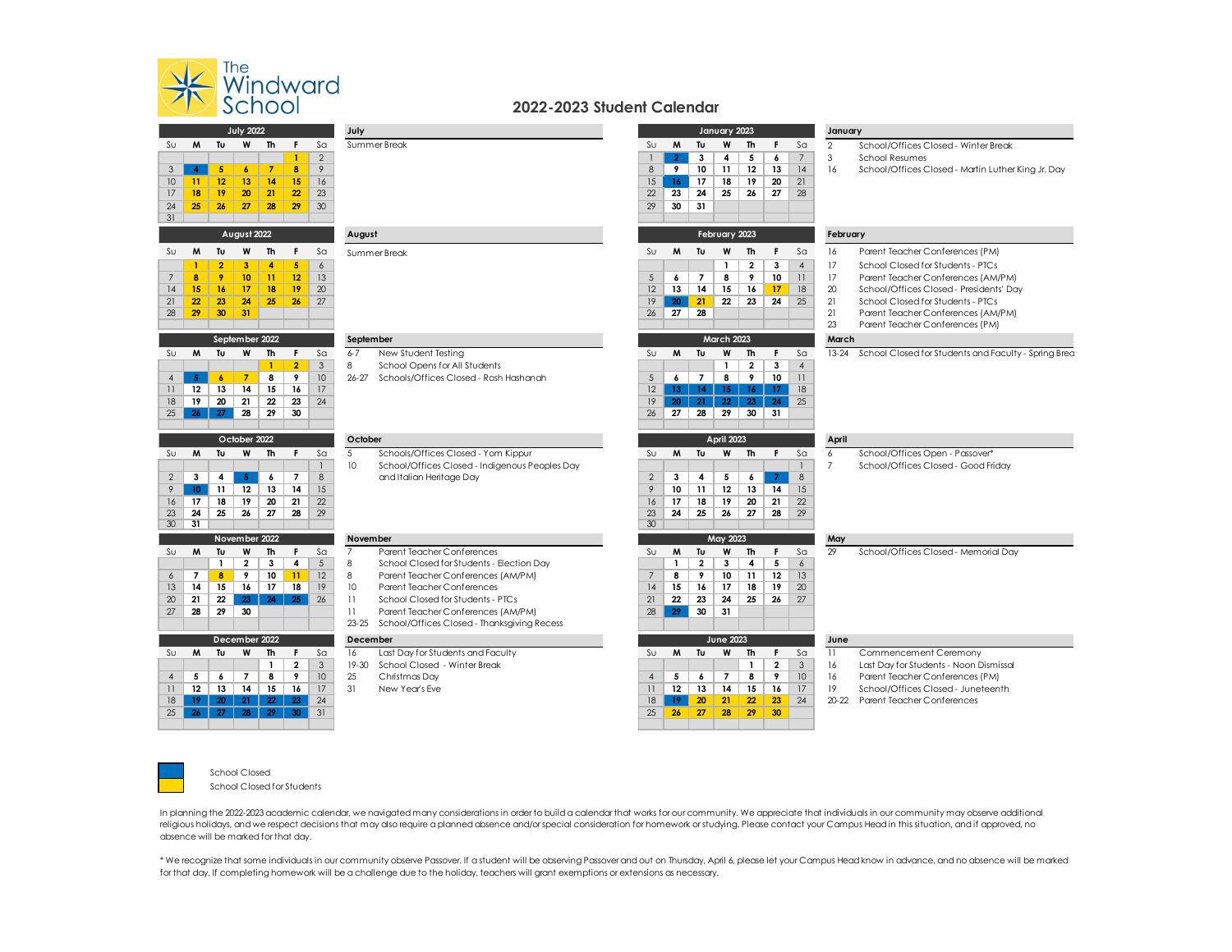

 $\frac{24}{31}$ 

| 2022-2023 Student Calendar |  |  |
|----------------------------|--|--|
|----------------------------|--|--|

| <b>July 2022</b>      |                  |                  |                  |                  |                |                | July             |                                                                                         | January 2023   |                   |                          |                   |                     |                                            |                | January        |                                                                       |  |  |
|-----------------------|------------------|------------------|------------------|------------------|----------------|----------------|------------------|-----------------------------------------------------------------------------------------|----------------|-------------------|--------------------------|-------------------|---------------------|--------------------------------------------|----------------|----------------|-----------------------------------------------------------------------|--|--|
| Su                    | M                | Tu               | W                | Th               | F.             | Sa             |                  | Summer Break                                                                            | SU             | M                 | Tu                       | W                 | Th                  | F.                                         | Sa             | $\overline{2}$ | School/Offices Closed - Winter Break                                  |  |  |
|                       |                  |                  |                  |                  | $\mathbf{1}$   | 2              |                  |                                                                                         |                | $\overline{2}$    | 3                        | 4                 | 5                   | 6                                          | $\overline{7}$ | 3              | <b>School Resumes</b>                                                 |  |  |
| 3                     | $\blacktriangle$ | 5                | $\boldsymbol{6}$ | $\overline{7}$   | 8              | 9              |                  |                                                                                         | 8              | 9                 | 10 <sup>°</sup>          | 11                | 12                  | 13                                         | 14             | 16             | School/Offices Closed - Martin Luther King Jr. Day                    |  |  |
| 10                    | 11               | 12               | 13               | 14               | 15             | 16             |                  |                                                                                         | 15             | 16                | 17                       | 18                | 19                  | 20                                         | 21             |                |                                                                       |  |  |
| 17                    | 18               | 19               | 20               | 21               | 22             | 23             |                  |                                                                                         | 22             | 23                | 24                       | 25                | 26                  | 27                                         | 28             |                |                                                                       |  |  |
| 24                    | 25               | 26               | 27               | 28               | 29             | 30             |                  |                                                                                         | 29             | 30                | 31                       |                   |                     |                                            |                |                |                                                                       |  |  |
| 31                    |                  |                  |                  |                  |                |                |                  |                                                                                         |                |                   |                          |                   |                     |                                            |                |                |                                                                       |  |  |
|                       |                  |                  | August 2022      |                  |                |                | August           |                                                                                         |                | February 2023     |                          |                   |                     |                                            |                | February       |                                                                       |  |  |
| Sυ                    | M                | Tu               | W                | Th               | F              | S <sub>a</sub> |                  | Summer Break                                                                            | $S_{U}$        | M                 | Tu                       | W                 | Th                  | F.                                         | Sa             | 16             | Parent Teacher Conferences (PM)                                       |  |  |
|                       | $\mathbf{1}$     | $\overline{2}$   | 3                | $\overline{4}$   | 5              | $\epsilon$     |                  |                                                                                         |                |                   |                          | $\mathbf{1}$      | $\mathbf{2}$        | $\overline{\mathbf{3}}$                    | $\overline{4}$ | 17             | School Closed for Students - PTCs                                     |  |  |
|                       | 8                | 9                | 10               | 11               | 12             | 13             |                  |                                                                                         | 5              | 6                 | $\overline{\phantom{a}}$ | 8                 | 9                   | 10                                         | 11             | 17             | Parent Teacher Conferences (AM/PM)                                    |  |  |
| 4                     | 15               | 16               | 17               | 18               | 19             | 20             |                  |                                                                                         | 12             | 13                | 14                       | 15                | 16                  | 17                                         | 18             | 20             | School/Offices Closed - Presidents' Day                               |  |  |
| 21                    | 22               | 23               | 24               | 25               | 26             | 27             |                  |                                                                                         | 19             | 20                | 21                       | 22                | 23                  | 24                                         | 25             | 21             | School Closed for Students - PTCs                                     |  |  |
| 28                    | 29               | 30               | 31               |                  |                |                |                  |                                                                                         | 26             | 27                | 28                       |                   |                     |                                            |                | 21<br>23       | Parent Teacher Conferences (AM/PM)<br>Parent Teacher Conferences (PM) |  |  |
|                       |                  |                  |                  |                  |                |                |                  |                                                                                         |                |                   |                          |                   |                     |                                            |                |                |                                                                       |  |  |
|                       |                  |                  | September 2022   |                  |                |                | September        |                                                                                         |                |                   |                          | <b>March 2023</b> |                     |                                            |                | March          |                                                                       |  |  |
| Su                    | M                | Tu               | W                | <b>Th</b>        | F.             | Sa             | $6 - 7$          | New Student Testing                                                                     | Su             | M                 | Tu                       | W                 | Th                  | F.                                         | Sa             | $13 - 24$      | School Closed for Students and Faculty - Spring Brea                  |  |  |
|                       |                  | $\boldsymbol{6}$ | $\overline{7}$   | $\mathbf{1}$     | $\overline{2}$ | $\mathbf{3}$   | 8<br>$26 - 27$   | School Opens for All Students                                                           | 5              | 6                 | $\overline{7}$           | $\mathbf{1}$<br>8 | $\overline{2}$<br>9 | $\overline{\mathbf{3}}$<br>10 <sup>°</sup> | $\overline{4}$ |                |                                                                       |  |  |
| $\overline{4}$        | -5               |                  |                  | 8                | 9              | 10             |                  | Schools/Offices Closed - Rosh Hashanah                                                  |                |                   |                          |                   |                     |                                            | 11             |                |                                                                       |  |  |
| $\overline{11}$<br>18 | 12<br>19         | 13<br>20         | 14<br>21         | 15<br>22         | 16<br>23       | 17<br>24       |                  |                                                                                         | 12<br>19       | $13-13$<br>$20-1$ | 14<br>21                 | $15 -$<br>22      | $16-1$<br>23        | 17 <sup>2</sup><br>24                      | 18<br>25       |                |                                                                       |  |  |
| 25                    | $26-1$           | 27               | 28               | 29               | 30             |                |                  |                                                                                         | 26             | 27                | 28                       | 29                | 30                  | 31                                         |                |                |                                                                       |  |  |
|                       |                  |                  |                  |                  |                |                |                  |                                                                                         |                |                   |                          |                   |                     |                                            |                |                |                                                                       |  |  |
|                       |                  |                  | October 2022     |                  |                |                | October          |                                                                                         |                |                   |                          | <b>April 2023</b> |                     |                                            |                | April          |                                                                       |  |  |
| Sυ                    | M                | Tu               | W                | Th               | F.             | S <sub>a</sub> | 5                | Schools/Offices Closed - Yom Kippur                                                     | SU             | M                 | Tu                       | W                 | <b>Th</b>           | F.                                         | S <sub>a</sub> | 6              | School/Offices Open - Passover*                                       |  |  |
|                       |                  |                  |                  |                  |                | $\mathbf{1}$   | 10               | School/Offices Closed - Indigenous Peoples Day                                          |                |                   |                          |                   |                     |                                            | $\mathbf{1}$   | $\overline{7}$ | School/Offices Closed - Good Friday                                   |  |  |
| $\overline{2}$        | $\mathbf{3}$     | 4                |                  |                  | $\overline{7}$ | 8              |                  |                                                                                         |                |                   | 4                        | 5                 | 6                   | $\overline{7}$                             | 8              |                |                                                                       |  |  |
| 9                     | 10 <sup>°</sup>  |                  | 5 <sub>1</sub>   | $\boldsymbol{6}$ |                |                |                  | and Italian Heritage Day                                                                | $\overline{2}$ | 3                 |                          |                   |                     |                                            |                |                |                                                                       |  |  |
| 16                    |                  | 11               | 12               | 13               | 14             | 15             |                  |                                                                                         | 9              | 10                | 11                       | 12                | 13                  | 14                                         | 15             |                |                                                                       |  |  |
|                       | 17               | 18               | 19               | 20               | 21             | 22             |                  |                                                                                         | 16             | 17                | 18                       | 19                | 20                  | 21                                         | 22             |                |                                                                       |  |  |
| 23                    | 24               | 25               | 26               | 27               | 28             | 29             |                  |                                                                                         | 23             | 24                | 25                       | 26                | 27                  | 28                                         | 29             |                |                                                                       |  |  |
| 30                    | 31               |                  |                  |                  |                |                |                  |                                                                                         | 30             |                   |                          |                   |                     |                                            |                |                |                                                                       |  |  |
|                       |                  |                  | November 2022    |                  |                |                | November         |                                                                                         |                |                   |                          | May 2023          |                     |                                            |                | May            |                                                                       |  |  |
| Sυ                    | M                | Tu               | W                | <b>Th</b>        | F              | S <sub>a</sub> | $\overline{7}$   | Parent Teacher Conferences                                                              | Sυ             | M                 | Tu                       | W                 | Th                  | F.                                         | $S\alpha$      | 29             | School/Offices Closed - Memorial Day                                  |  |  |
|                       |                  | $\mathbf{1}$     | $\overline{2}$   | 3                | 4              | 5              | 8                | School Closed for Students - Election Day                                               |                | $\mathbf{1}$      | $\overline{2}$           | 3                 | 4                   | 5                                          | $\epsilon$     |                |                                                                       |  |  |
| 6                     | 7                | 8                | 9                | 10               | 11             | 12             | 8                | Parent Teacher Conferences (AM/PM)                                                      | $\overline{7}$ | 8                 | 9                        | 10                | 11                  | 12                                         | 13             |                |                                                                       |  |  |
| 13                    | 14               | 15               | 16               | 17               | 18             | 19             | 10 <sup>10</sup> | Parent Teacher Conferences                                                              | 14             | 15                | 16                       | 17                | 18                  | 19                                         | 20             |                |                                                                       |  |  |
| 20                    | 21               | 22               | 23               | 24               | 25             | 26             | 11               | School Closed for Students - PTCs                                                       | 21             | $22\phantom{.0}$  | 23                       | 24                | 25                  | 26                                         | 27             |                |                                                                       |  |  |
| 27                    | 28               | 29               | 30               |                  |                |                | 11               | Parent Teacher Conferences (AM/PM)<br>23-25 School/Offices Closed - Thanksgiving Recess | 28             | 29                | 30                       | 31                |                     |                                            |                |                |                                                                       |  |  |
|                       |                  |                  | December 2022    |                  |                |                | December         |                                                                                         |                |                   |                          | <b>June 2023</b>  |                     |                                            |                | June           |                                                                       |  |  |
| Sυ                    | M                | Tu               | W                | <b>Th</b>        | F.             | S <sub>a</sub> | 16               | Last Day for Students and Faculty                                                       | $S_{U}$        | M                 | Tu                       | W                 | Th                  | F.                                         | S <sub>a</sub> | 11             | Commencement Ceremony                                                 |  |  |
|                       |                  |                  |                  | $\mathbf{1}$     | $\mathbf{2}$   | $\mathbf{3}$   | $19 - 30$        | School Closed - Winter Break                                                            |                |                   |                          |                   | $\mathbf{1}$        | $\mathbf{2}$                               | 3              | 16             | Last Day for Students - Noon Dismissal                                |  |  |
| $\overline{4}$        | 5                | 6                | $\overline{7}$   | 8                | 9              | 10             | 25               | Christmas Day                                                                           | $\overline{4}$ | 5                 | 6                        | $\overline{7}$    | 8                   | 9                                          | 10             | 16             | Parent Teacher Conferences (PM)                                       |  |  |
| 11                    | $12 \,$          | 13               | 14               | 15               | 16             | 17             | 31               | New Year's Fye                                                                          | 11             | 12                | 13                       | 14                | 15                  | 16                                         | 17             | 19             | School/Offices Closed - Juneteenth                                    |  |  |
| 18                    | 19               | 20               | 21               | 22               | 23             | 24             |                  |                                                                                         | 18             | 19 <sup>°</sup>   | 20                       | 21                | 22                  | 23                                         | 24             | 20-22          | Parent Teacher Conferences                                            |  |  |
| 25                    | 26               | 27               | 28               | 29               | 30             | 31             |                  |                                                                                         | 25             | 26                | 27                       | 28                | 29                  | 30                                         |                |                |                                                                       |  |  |



School Closed School Closed for Students

In planning the 2022-2023 academic calendar, we navigated many considerations in order to build a calendar that works for our community. We appreciate that individuals in our community may observe additional religious holidays, and we respect decisions that may also require a planned absence and/or special consideration for homework or studying. Please contact your Campus Head in this situation, and if approved, no absence will be marked for that day.

\* We recognize that some individuals in our community observe Passover. If a student will be observing Passover and out on Thursday, April 6, please let your Campus Head know in advance, and no absence will be marked for that day. If completing homework will be a challenge due to the holiday, teachers will grant exemptions or extensions as necessary.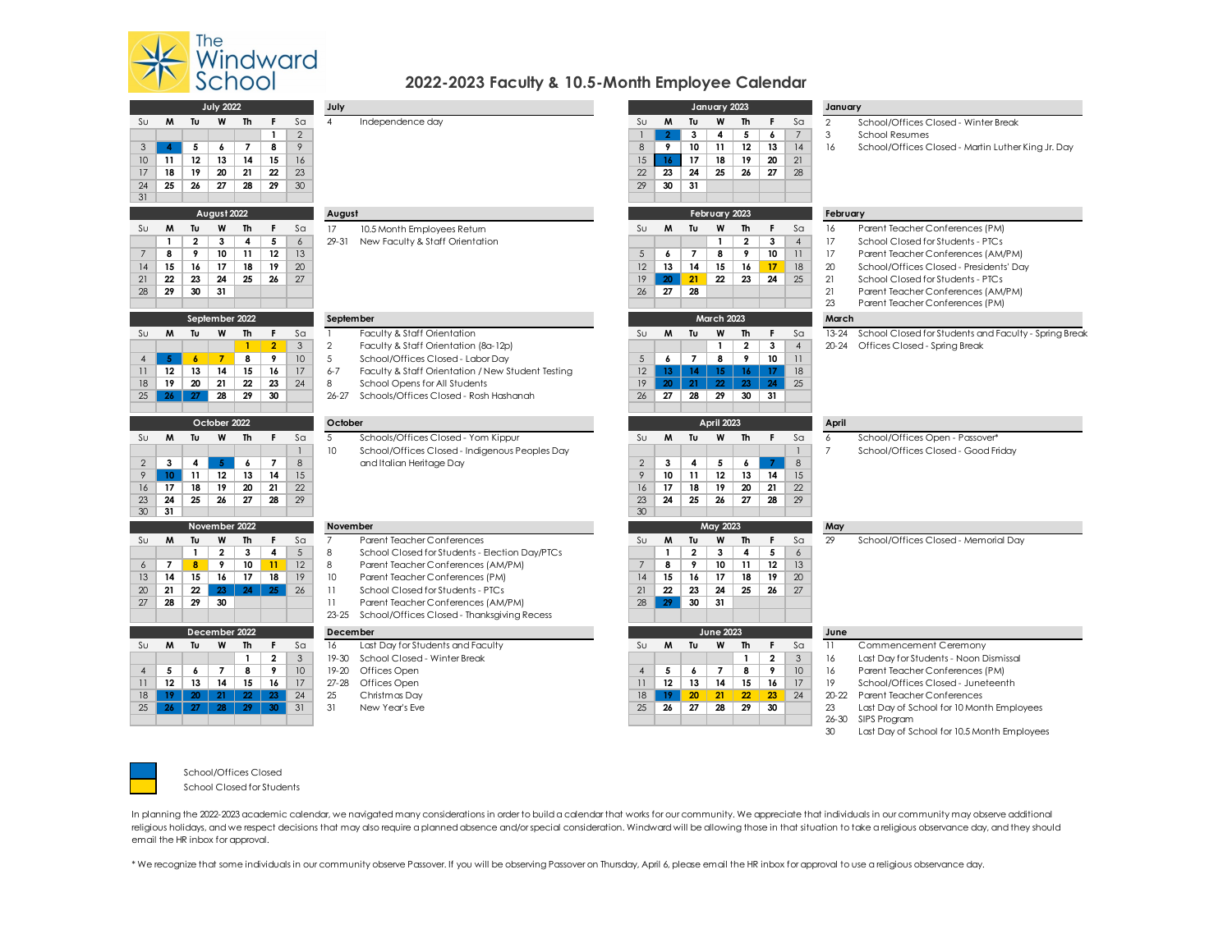

 $\begin{array}{c|c}\n 24 \\
\hline\n 31\n \end{array}$ 

## **2022-2023 Faculty & 10.5-Month Employee Calendar**

| <b>July 2022</b> |                  |                  |                    |                     |                         |                  | July                       |                                                   |                |                 |                 | January 2023      |                         |                         |                 | January        |                                                       |  |  |
|------------------|------------------|------------------|--------------------|---------------------|-------------------------|------------------|----------------------------|---------------------------------------------------|----------------|-----------------|-----------------|-------------------|-------------------------|-------------------------|-----------------|----------------|-------------------------------------------------------|--|--|
| Sυ               | M                | Tu               | W                  | <b>Th</b>           | F.                      | S <sub>a</sub>   | $\overline{4}$             | Independence day                                  | $S_{U}$        | M               | Tu              | W                 | <b>Th</b>               | F                       | S <sub>a</sub>  | $\overline{2}$ | School/Offices Closed - Winter Break                  |  |  |
|                  |                  |                  |                    |                     | $\mathbf{1}$            | $\overline{2}$   |                            |                                                   |                | $\overline{2}$  | 3               | 4                 | 5                       | 6                       | $\overline{7}$  | 3              | <b>School Resumes</b>                                 |  |  |
| 3                | $\overline{4}$   | 5                | 6                  | $\overline{7}$      | 8                       | 9                |                            |                                                   | 8              | 9               | 10              | 11                | 12                      | 13                      | 4               | 16             | School/Offices Closed - Martin Luther King Jr. Day    |  |  |
| 10               | 11               | 12               | 13                 | 14                  | 15                      | 16               |                            |                                                   | 15             | 16              | 17              | 18                | 19                      | 20                      | 21              |                |                                                       |  |  |
| 17               | 18               | 19               | 20                 | 21                  | 22                      | 23               |                            |                                                   | 22             | 23              | 24              | 25                | 26                      | 27                      | 28              |                |                                                       |  |  |
| 24               | 25               | 26               | 27                 | 28                  | 29                      | 30               |                            |                                                   | 29             | 30              | 31              |                   |                         |                         |                 |                |                                                       |  |  |
| 31               |                  |                  |                    |                     |                         |                  |                            |                                                   |                |                 |                 |                   |                         |                         |                 |                |                                                       |  |  |
|                  |                  |                  | August 2022        |                     |                         |                  | August                     |                                                   |                |                 |                 | February 2023     |                         |                         |                 | February       |                                                       |  |  |
| Sυ               | M                | Tυ               | W                  | Th                  | F.                      | Sa               | 17                         | 10.5 Month Employees Return                       | $S_{U}$        | M               | Tυ              | W                 | <b>Th</b>               | F                       | S <sub>G</sub>  | 16             | Parent Teacher Conferences (PM)                       |  |  |
|                  | $\mathbf{1}$     | $\mathbf{2}$     | 3                  | $\overline{\bf{4}}$ | 5                       | $\boldsymbol{6}$ | 29-31                      | New Faculty & Staff Orientation                   |                |                 |                 | $\mathbf{1}$      | $\mathbf{2}$            | $\overline{\mathbf{3}}$ | $\overline{4}$  | 17             | School Closed for Students - PTCs                     |  |  |
| 7                | 8                | 9                | 10                 | 11                  | 12                      | 13               |                            |                                                   | 5              | 6               | $\overline{7}$  | 8                 | 9                       | 10                      | $\overline{11}$ | 17             | Parent Teacher Conferences (AM/PM)                    |  |  |
| 14               | 15               | 16               | 17                 | 18                  | 19                      | 20               |                            |                                                   | 12             | 13              | 14              | 15                | 16                      | 17                      | 18              | 20             | School/Offices Closed - Presidents' Day               |  |  |
| 21               | 22               | 23               | 24                 | 25                  | 26                      | 27               |                            |                                                   | 19             | 20              | 21              | 22                | 23                      | 24                      | 25              | 21             | School Closed for Students - PTCs                     |  |  |
| 28               | 29               | 30               | 31                 |                     |                         |                  |                            |                                                   | 26             | 27              | 28              |                   |                         |                         |                 | 21             | Parent Teacher Conferences (AM/PM)                    |  |  |
|                  |                  |                  |                    |                     |                         |                  |                            |                                                   |                |                 |                 |                   |                         |                         |                 | 23             | Parent Teacher Conferences (PM)                       |  |  |
|                  |                  |                  | September 2022     |                     |                         |                  | September                  |                                                   |                |                 |                 | <b>March 2023</b> |                         |                         |                 | March          |                                                       |  |  |
| Sυ               | M                | Tu               | W                  | <b>Th</b>           | F.                      | S <sub>a</sub>   | $\mathbf{1}$               | Faculty & Staff Orientation                       | $S_{U}$        | M               | Tu              | W                 | <b>Th</b>               | F.                      | S <sub>a</sub>  | $13 - 24$      | School Closed for Students and Faculty - Spring Break |  |  |
|                  |                  |                  |                    | $\mathbf{I}$        | $\overline{2}$          | 3                | $\overline{2}$             | Faculty & Staff Orientation (8a-12p)              |                |                 |                 | $\mathbf{1}$      | $\overline{\mathbf{2}}$ | $\mathbf{3}$            | $\overline{4}$  | $20 - 24$      | Offices Closed - Spring Break                         |  |  |
| 4                | -5               | $\boldsymbol{6}$ | $\overline{7}$     | 8                   | 9                       | 10               | 5                          | School/Offices Closed - Labor Day                 | 5              | $\epsilon$      | $\overline{7}$  | 8                 | 9                       | 10                      | 11              |                |                                                       |  |  |
| 11               | 12               | 13               | 14                 | 15                  | 16                      | 17               | $6 - 7$                    | Faculty & Staff Orientation / New Student Testing | 12             | 13              | 14 <sup>2</sup> | 15 <sub>15</sub>  | 16 <sup>1</sup>         | 17                      | 18              |                |                                                       |  |  |
| 18               | 19               | 20               | 21                 | 22                  | 23                      | 24               | 8                          | School Opens for All Students                     | 19             | 20              | 21              | 22                | 23                      | 24                      | 25              |                |                                                       |  |  |
| 25               | 26 <sub>2</sub>  | 27               | 28                 | 29                  | 30                      |                  | $26 - 27$                  | Schools/Offices Closed - Rosh Hashanah            | 26             | 27              | 28              | 29                | 30                      | 31                      |                 |                |                                                       |  |  |
|                  |                  |                  |                    |                     |                         |                  |                            |                                                   |                |                 |                 |                   |                         |                         |                 |                |                                                       |  |  |
|                  |                  |                  | October 2022       |                     |                         |                  | October                    |                                                   |                |                 |                 | <b>April 2023</b> |                         |                         |                 | April          |                                                       |  |  |
| Sυ               | M                | Tu               | W                  | <b>Th</b>           | F.                      | S <sub>G</sub>   | $\overline{5}$             | Schools/Offices Closed - Yom Kippur               | $S_{U}$        | M               | Tu              | W                 | <b>Th</b>               | F                       | S <sub>G</sub>  | $\overline{6}$ | School/Offices Open - Passover*                       |  |  |
|                  |                  |                  |                    |                     |                         | $\mathbf{1}$     | 10                         | School/Offices Closed - Indigenous Peoples Day    |                |                 |                 |                   |                         |                         |                 | $\overline{7}$ | School/Offices Closed - Good Friday                   |  |  |
| $\overline{2}$   | 3                | 4                | 5 <sup>1</sup>     | 6                   | $\overline{7}$          | 8                |                            | and Italian Heritage Day                          | $\overline{2}$ | 3               | 4               | 5                 | 6                       | 7                       | 8               |                |                                                       |  |  |
| 9                | 10 <sub>10</sub> | 11               | 12                 | 13                  | 14                      | 15               |                            |                                                   | 9              | 10              | 11              | 12                | 13                      | 14                      | 15              |                |                                                       |  |  |
| 16               | 17               | 18               | 19                 | 20                  | 21                      | 22               |                            |                                                   | 16             | 17              | 18              | 19                | 20                      | 21                      | 22              |                |                                                       |  |  |
| 23               | 24               | 25               | 26                 | 27                  | 28                      | 29               |                            |                                                   | 23             | 24              | 25              | 26                | 27                      | 28                      | 29              |                |                                                       |  |  |
| 30               | 31               |                  |                    |                     |                         |                  |                            |                                                   | 30             |                 |                 |                   |                         |                         |                 |                |                                                       |  |  |
| Sυ               | M                | Tu               | November 2022<br>W | <b>Th</b>           | F.                      | S <sub>a</sub>   | November<br>$\overline{7}$ | Parent Teacher Conferences                        | $S_{U}$        | M               | Tu              | May 2023<br>W     | <b>Th</b>               | F                       | S <sub>a</sub>  | May<br>29      | School/Offices Closed - Memorial Day                  |  |  |
|                  |                  | $\mathbf{1}$     | $\overline{2}$     | 3                   | 4                       | 5                | 8                          | School Closed for Students - Election Day/PTCs    |                | $\mathbf{1}$    | $\overline{2}$  | 3                 | 4                       | 5                       | 6               |                |                                                       |  |  |
| 6                | $\overline{7}$   | 8                | 9                  | 10                  | 11                      | 12               | 8                          | Parent Teacher Conferences (AM/PM)                | $\overline{7}$ | 8               | 9               | 10                | 11                      | 12                      | 13              |                |                                                       |  |  |
| 13               | 14               | 15               | 16                 | 17                  | 18                      | 19               | 10                         | Parent Teacher Conferences (PM)                   | 14             | 15              | 16              | 17                | 18                      | 19                      | 20              |                |                                                       |  |  |
| 20               | 21               | 22               | 23                 | 24                  | 25                      | 26               | 11                         | School Closed for Students - PTCs                 | 21             | 22              | 23              | 24                | 25                      | 26                      | 27              |                |                                                       |  |  |
| 27               | 28               | 29               | 30                 |                     |                         |                  | 11                         | Parent Teacher Conferences (AM/PM)                | 28             | 29              | 30              | 31                |                         |                         |                 |                |                                                       |  |  |
|                  |                  |                  |                    |                     |                         |                  | $23 - 25$                  | School/Offices Closed - Thanksgiving Recess       |                |                 |                 |                   |                         |                         |                 |                |                                                       |  |  |
|                  |                  |                  | December 2022      |                     |                         |                  | December                   |                                                   |                |                 |                 | <b>June 2023</b>  |                         |                         |                 | June           |                                                       |  |  |
| Sυ               | M                | Tu               | W                  | <b>Th</b>           | F.                      | S <sub>G</sub>   | 16                         | Last Day for Students and Faculty                 | Su             | M               | Tu              | W                 | <b>Th</b>               | F                       | S <sub>G</sub>  | 11             | Commencement Ceremony                                 |  |  |
|                  |                  |                  |                    | $\mathbf{1}$        | $\overline{\mathbf{2}}$ | $\mathfrak{S}$   | 19-30                      | School Closed - Winter Break                      |                |                 |                 |                   | $\mathbf{1}$            | $\overline{2}$          | $\mathbf{3}$    | 16             | Last Day for Students - Noon Dismissal                |  |  |
| $\overline{4}$   | 5                | 6                | $\overline{7}$     | 8                   | 9                       | 10               | $19 - 20$                  | Offices Open                                      | $\overline{4}$ | 5               | 6               | $\overline{7}$    | 8                       | 9                       | 10              | 16             | Parent Teacher Conferences (PM)                       |  |  |
| $\overline{11}$  | 12               | 13               | 14                 | 15                  | 16                      | 17               | $27 - 28$                  | Offices Open                                      | 11             | 12              | 13              | 14                | 15                      | 16                      | 17              | 19             | School/Offices Closed - Juneteenth                    |  |  |
| 18               | 19               | 20               | 21                 | $22^{\circ}$        | 23                      | 24               | 25                         | Christmas Day                                     | 18             | 19 <sup>°</sup> | 20              | 21                | 22                      | 23                      | 24              | $20 - 22$      | Parent Teacher Conferences                            |  |  |
| 25               | 26               | 27               | 28                 | 29                  | 30                      | 31               | 31                         | New Year's Fve                                    | 25             | 26              | 27              | 28                | 29                      | 30                      |                 | 23             | Last Day of School for 10 Month Employees             |  |  |
|                  |                  |                  |                    |                     |                         |                  |                            |                                                   |                |                 |                 |                   |                         |                         |                 | 26-30          | SIPS Program                                          |  |  |
|                  |                  |                  |                    |                     |                         |                  |                            |                                                   |                |                 |                 |                   |                         |                         |                 | 30             | Last Day of School for 10.5 Month Employees           |  |  |



School/Offices Closed School Closed for Students

In planning the 2022-2023 academic calendar, we navigated many considerations in order to build a calendar that works for our community. We appreciate that individuals in our community may observe additional religious holidays, and we respect decisions that may also require a planned absence and/or special consideration. Windward will be allowing those in that situation to take a religious observance day, and they should email the HR inbox for approval.

\* We recognize that some individuals in our community observe Passover. If you will be observing Passover on Thursday, April 6, please email the HR inbox for approval to use a religious observance day.